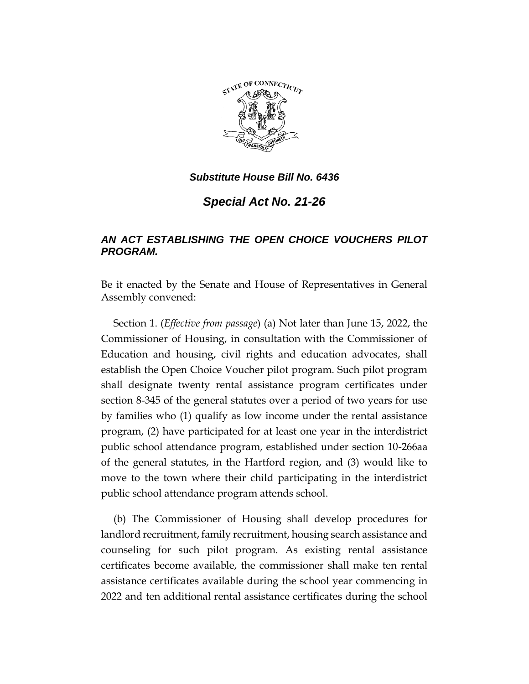

*Substitute House Bill No. 6436*

*Special Act No. 21-26*

## *AN ACT ESTABLISHING THE OPEN CHOICE VOUCHERS PILOT PROGRAM.*

Be it enacted by the Senate and House of Representatives in General Assembly convened:

Section 1. (*Effective from passage*) (a) Not later than June 15, 2022, the Commissioner of Housing, in consultation with the Commissioner of Education and housing, civil rights and education advocates, shall establish the Open Choice Voucher pilot program. Such pilot program shall designate twenty rental assistance program certificates under section 8-345 of the general statutes over a period of two years for use by families who (1) qualify as low income under the rental assistance program, (2) have participated for at least one year in the interdistrict public school attendance program, established under section 10-266aa of the general statutes, in the Hartford region, and (3) would like to move to the town where their child participating in the interdistrict public school attendance program attends school.

(b) The Commissioner of Housing shall develop procedures for landlord recruitment, family recruitment, housing search assistance and counseling for such pilot program. As existing rental assistance certificates become available, the commissioner shall make ten rental assistance certificates available during the school year commencing in 2022 and ten additional rental assistance certificates during the school